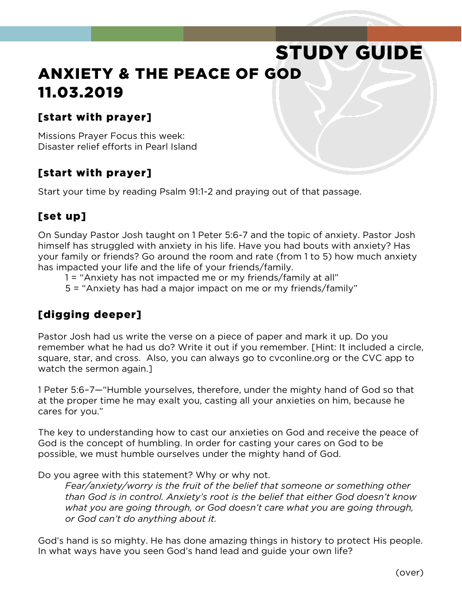# STUDY GUIDE ANXIETY & THE PEACE OF GOD 11.03.2019

#### [start with prayer]

Missions Prayer Focus this week: Disaster relief efforts in Pearl Island

## [start with prayer]

Start your time by reading Psalm 91:1-2 and praying out of that passage.

#### [set up]

On Sunday Pastor Josh taught on 1 Peter 5:6-7 and the topic of anxiety. Pastor Josh himself has struggled with anxiety in his life. Have you had bouts with anxiety? Has your family or friends? Go around the room and rate (from 1 to 5) how much anxiety has impacted your life and the life of your friends/family.

1 = "Anxiety has not impacted me or my friends/family at all"

5 = "Anxiety has had a major impact on me or my friends/family"

## [digging deeper]

Pastor Josh had us write the verse on a piece of paper and mark it up. Do you remember what he had us do? Write it out if you remember. [Hint: It included a circle, square, star, and cross. Also, you can always go to cvconline.org or the CVC app to watch the sermon again.]

1 Peter 5:6–7—"Humble yourselves, therefore, under the mighty hand of God so that at the proper time he may exalt you, casting all your anxieties on him, because he cares for you."

The key to understanding how to cast our anxieties on God and receive the peace of God is the concept of humbling. In order for casting your cares on God to be possible, we must humble ourselves under the mighty hand of God.

Do you agree with this statement? Why or why not.

*Fear/anxiety/worry is the fruit of the belief that someone or something other than God is in control. Anxiety's root is the belief that either God doesn't know what you are going through, or God doesn't care what you are going through, or God can't do anything about it.*

God's hand is so mighty. He has done amazing things in history to protect His people. In what ways have you seen God's hand lead and guide your own life?